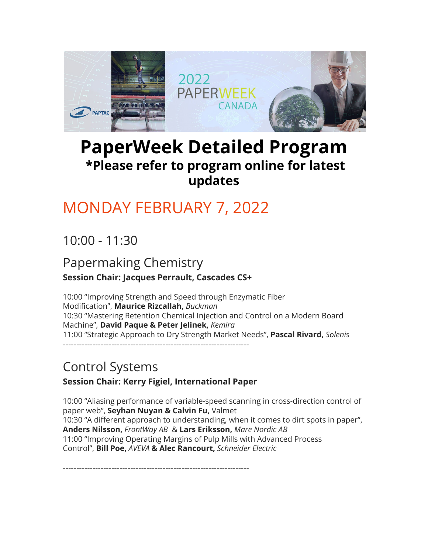

# **PaperWeek Detailed Program \*Please refer to program online for latest updates**

# [MONDAY FEBRUARY 7, 2022](https://www.paperweekcanada.ca/pwc-2020-monday-february-3)

10:00 - 11:30

### Papermaking Chemistry **Session Chair: Jacques Perrault, Cascades CS+**

10:00 "Improving Strength and Speed through Enzymatic Fiber Modification", **Maurice Rizcallah,** *Buckman* 10:30 "Mastering Retention Chemical Injection and Control on a Modern Board Machine", **David Paque & Peter Jelinek,** *Kemira* 11:00 "Strategic Approach to Dry Strength Market Needs", **Pascal Rivard,** *Solenis* ---------------------------------------------------------------------

# Control Systems

### **Session Chair: Kerry Figiel, International Paper**

10:00 "Aliasing performance of variable-speed scanning in cross-direction control of paper web", **Seyhan Nuyan & Calvin Fu,** Valmet 10:30 "A different approach to understanding, when it comes to dirt spots in paper", **Anders Nilsson,** *FrontWay AB* & **Lars Eriksson,** *Mare Nordic AB* 11:00 "Improving Operating Margins of Pulp Mills with Advanced Process Control", **Bill Poe,** *AVEVA* **& Alec Rancourt,** *Schneider Electric*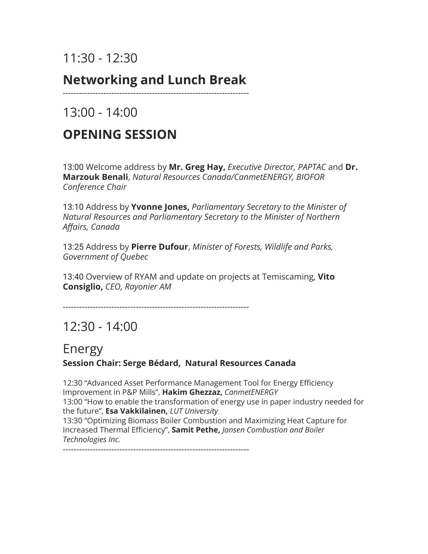# 11:30 - 12:30

## **Networking and Lunch Break**

---------------------------------------------------------------------

 $13:00 - 14:00$ 

# **OPENING SESSION**

13:00 Welcome address by **Mr. Greg Hay,** *Executive Director, PAPTAC* and **Dr. Marzouk Benali**, *Natural Resources Canada/CanmetENERGY, BIOFOR Conference Chair*

13:10 Address by **Yvonne Jones,** *Parliamentary Secretary to the Minister of Natural Resources and Parliamentary Secretary to the Minister of Northern Affairs, Canada*

13:25 Address by **Pierre Dufour**, *Minister of Forests, Wildlife and Parks, Government of Quebec*

13:40 Overview of RYAM and update on projects at Temiscaming, **Vito Consiglio,** *CEO, Rayonier AM*

---------------------------------------------------------------------

# 12:30 - 14:00

### Energy

### **Session Chair: Serge Bédard, Natural Resources Canada**

12:30 "Advanced Asset Performance Management Tool for Energy Efficiency Improvement in P&P Mills", **Hakim Ghezzaz,** *CanmetENERGY* 13:00 "How to enable the transformation of energy use in paper industry needed for the future", **Esa Vakkilainen,** *LUT University* 13:30 "Optimizing Biomass Boiler Combustion and Maximizing Heat Capture for Increased Thermal Efficiency", **Samit Pethe,** *Jansen Combustion and Boiler Technologies Inc.*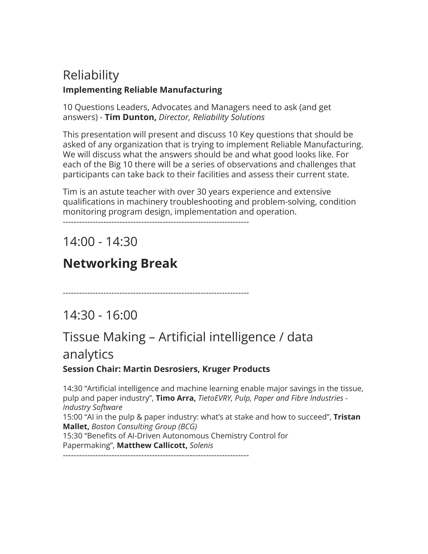### Reliability **Implementing Reliable Manufacturing**

10 Questions Leaders, Advocates and Managers need to ask (and get answers) - **Tim Dunton,** *Director, Reliability Solutions*

This presentation will present and discuss 10 Key questions that should be asked of any organization that is trying to implement Reliable Manufacturing. We will discuss what the answers should be and what good looks like. For each of the Big 10 there will be a series of observations and challenges that participants can take back to their facilities and assess their current state.

Tim is an astute teacher with over 30 years experience and extensive qualifications in machinery troubleshooting and problem-solving, condition monitoring program design, implementation and operation.

---------------------------------------------------------------------

14:00 - 14:30

# **Networking Break**

---------------------------------------------------------------------

## 14:30 - 16:00

## Tissue Making – Artificial intelligence / data

### analytics

### **Session Chair: Martin Desrosiers, Kruger Products**

14:30 "Artificial intelligence and machine learning enable major savings in the tissue, pulp and paper industry", **Timo Arra,** *TietoEVRY, Pulp, Paper and Fibre Industries - Industry Software* 15:00 "AI in the pulp & paper industry: what's at stake and how to succeed", **Tristan Mallet,** *Boston Consulting Group (BCG)* 15:30 "Benefits of AI-Driven Autonomous Chemistry Control for Papermaking", **Matthew Callicott,** *Solenis*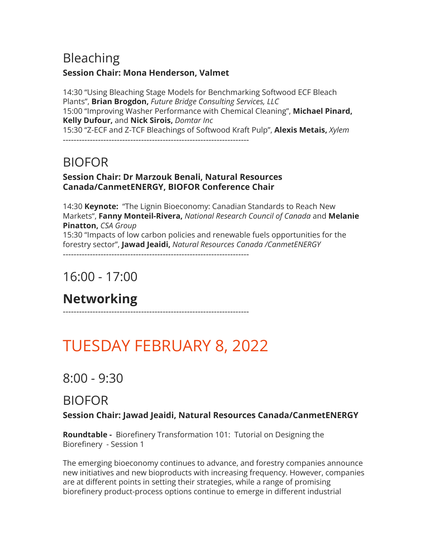### Bleaching **Session Chair: Mona Henderson, Valmet**

14:30 "Using Bleaching Stage Models for Benchmarking Softwood ECF Bleach Plants", **Brian Brogdon,** *Future Bridge Consulting Services, LLC* 15:00 "Improving Washer Performance with Chemical Cleaning", **Michael Pinard, Kelly Dufour,** and **Nick Sirois,** *Domtar Inc* 15:30 "Z-ECF and Z-TCF Bleachings of Softwood Kraft Pulp", **Alexis Metais,** *Xylem*

---------------------------------------------------------------------

## BIOFOR

### **Session Chair: Dr Marzouk Benali, Natural Resources Canada/CanmetENERGY, BIOFOR Conference Chair**

14:30 **Keynote:** "The Lignin Bioeconomy: Canadian Standards to Reach New Markets", **Fanny Monteil-Rivera,** *National Research Council of Canada* and **Melanie Pinatton,** *CSA Group* 15:30 "Impacts of low carbon policies and renewable fuels opportunities for the forestry sector", **Jawad Jeaidi,** *Natural Resources Canada /CanmetENERGY*

---------------------------------------------------------------------

## 16:00 - 17:00

# **Networking**

---------------------------------------------------------------------

# [TUESDAY FEBRUARY 8, 2022](https://www.paperweekcanada.ca/pwc-2020-tuesday-february-4)

## 8:00 - 9:30

### BIOFOR

### **Session Chair: Jawad Jeaidi, Natural Resources Canada/CanmetENERGY**

**Roundtable -** Biorefinery Transformation 101: Tutorial on Designing the Biorefinery - Session 1

The emerging bioeconomy continues to advance, and forestry companies announce new initiatives and new bioproducts with increasing frequency. However, companies are at different points in setting their strategies, while a range of promising biorefinery product-process options continue to emerge in different industrial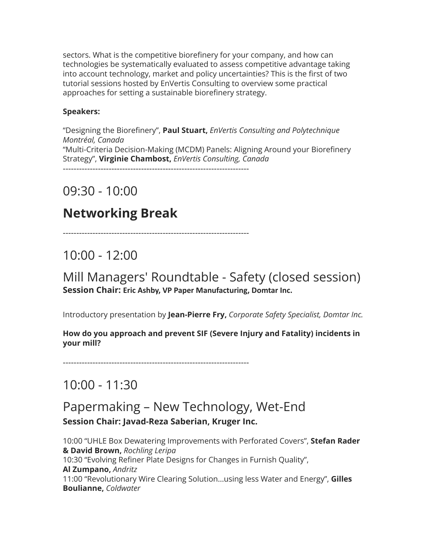sectors. What is the competitive biorefinery for your company, and how can technologies be systematically evaluated to assess competitive advantage taking into account technology, market and policy uncertainties? This is the first of two tutorial sessions hosted by EnVertis Consulting to overview some practical approaches for setting a sustainable biorefinery strategy.

#### **Speakers:**

"Designing the Biorefinery", **Paul Stuart,** *EnVertis Consulting and Polytechnique Montréal, Canada* "Multi-Criteria Decision-Making (MCDM) Panels: Aligning Around your Biorefinery Strategy", **Virginie Chambost,** *EnVertis Consulting, Canada* ---------------------------------------------------------------------

09:30 - 10:00

## **Networking Break**

---------------------------------------------------------------------

10:00 - 12:00

Mill Managers' Roundtable - Safety (closed session) **Session Chair: Eric Ashby, VP Paper Manufacturing, Domtar Inc.**

Introductory presentation by **Jean-Pierre Fry,** *Corporate Safety Specialist, Domtar Inc.*

**How do you approach and prevent SIF (Severe Injury and Fatality) incidents in your mill?**

---------------------------------------------------------------------

## 10:00 - 11:30

### Papermaking – New Technology, Wet-End **Session Chair: Javad-Reza Saberian, Kruger Inc.**

10:00 "UHLE Box Dewatering Improvements with Perforated Covers", **Stefan Rader & David Brown,** *Rochling Leripa* 10:30 "Evolving Refiner Plate Designs for Changes in Furnish Quality", **Al Zumpano,** *Andritz* 11:00 "Revolutionary Wire Clearing Solution...using less Water and Energy", **Gilles Boulianne,** *Coldwater*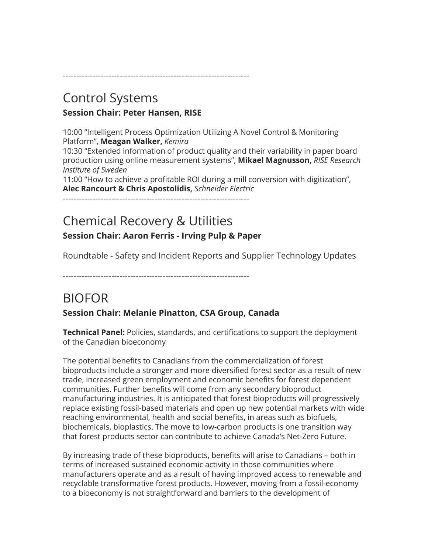Control Systems **Session Chair: Peter Hansen, RISE**

10:00 "Intelligent Process Optimization Utilizing A Novel Control & Monitoring Platform", **Meagan Walker,** *Kemira*

---------------------------------------------------------------------

10:30 "Extended information of product quality and their variability in paper board production using online measurement systems", **Mikael Magnusson,** *RISE Research Institute of Sweden*

11:00 "How to achieve a profitable ROI during a mill conversion with digitization", **Alec Rancourt & Chris Apostolidis,** *Schneider Electric*

---------------------------------------------------------------------

## Chemical Recovery & Utilities **Session Chair: Aaron Ferris - Irving Pulp & Paper**

Roundtable - Safety and Incident Reports and Supplier Technology Updates

---------------------------------------------------------------------

## BIOFOR

### **Session Chair: Melanie Pinatton, CSA Group, Canada**

**Technical Panel:** Policies, standards, and certifications to support the deployment of the Canadian bioeconomy

The potential benefits to Canadians from the commercialization of forest bioproducts include a stronger and more diversified forest sector as a result of new trade, increased green employment and economic benefits for forest dependent communities. Further benefits will come from any secondary bioproduct manufacturing industries. It is anticipated that forest bioproducts will progressively replace existing fossil-based materials and open up new potential markets with wide reaching environmental, health and social benefits, in areas such as biofuels, biochemicals, bioplastics. The move to low-carbon products is one transition way that forest products sector can contribute to achieve Canada's Net-Zero Future.

By increasing trade of these bioproducts, benefits will arise to Canadians – both in terms of increased sustained economic activity in those communities where manufacturers operate and as a result of having improved access to renewable and recyclable transformative forest products. However, moving from a fossil-economy to a bioeconomy is not straightforward and barriers to the development of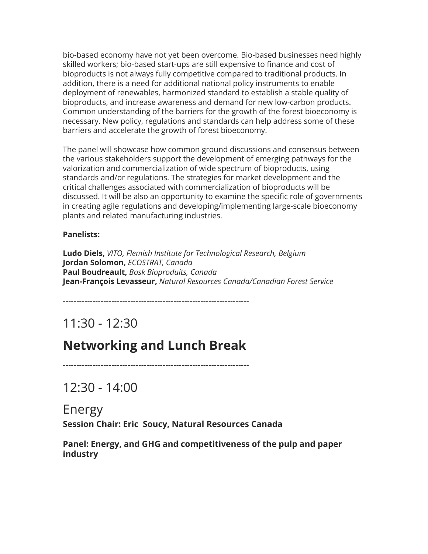bio-based economy have not yet been overcome. Bio-based businesses need highly skilled workers; bio-based start-ups are still expensive to finance and cost of bioproducts is not always fully competitive compared to traditional products. In addition, there is a need for additional national policy instruments to enable deployment of renewables, harmonized standard to establish a stable quality of bioproducts, and increase awareness and demand for new low-carbon products. Common understanding of the barriers for the growth of the forest bioeconomy is necessary. New policy, regulations and standards can help address some of these barriers and accelerate the growth of forest bioeconomy.

The panel will showcase how common ground discussions and consensus between the various stakeholders support the development of emerging pathways for the valorization and commercialization of wide spectrum of bioproducts, using standards and/or regulations. The strategies for market development and the critical challenges associated with commercialization of bioproducts will be discussed. It will be also an opportunity to examine the specific role of governments in creating agile regulations and developing/implementing large-scale bioeconomy plants and related manufacturing industries.

#### **Panelists:**

**Ludo Diels,** *VITO, Flemish Institute for Technological Research, Belgium* **Jordan Solomon,** *ECOSTRAT, Canada* **Paul Boudreault,** *Bosk Bioproduits, Canada* **Jean-François Levasseur,** *Natural Resources Canada/Canadian Forest Service*

---------------------------------------------------------------------

## 11:30 - 12:30

### **Networking and Lunch Break**

---------------------------------------------------------------------

12:30 - 14:00

Energy **Session Chair: Eric Soucy, Natural Resources Canada**

**Panel: Energy, and GHG and competitiveness of the pulp and paper industry**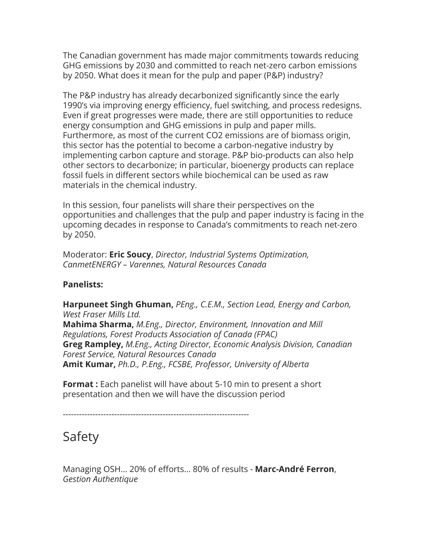The Canadian government has made major commitments towards reducing GHG emissions by 2030 and committed to reach net-zero carbon emissions by 2050. What does it mean for the pulp and paper (P&P) industry?

The P&P industry has already decarbonized significantly since the early 1990's via improving energy efficiency, fuel switching, and process redesigns. Even if great progresses were made, there are still opportunities to reduce energy consumption and GHG emissions in pulp and paper mills. Furthermore, as most of the current CO2 emissions are of biomass origin, this sector has the potential to become a carbon-negative industry by implementing carbon capture and storage. P&P bio-products can also help other sectors to decarbonize; in particular, bioenergy products can replace fossil fuels in different sectors while biochemical can be used as raw materials in the chemical industry.

In this session, four panelists will share their perspectives on the opportunities and challenges that the pulp and paper industry is facing in the upcoming decades in response to Canada's commitments to reach net-zero by 2050.

Moderator: **Eric Soucy**, *Director, Industrial Systems Optimization, CanmetENERGY – Varennes, Natural Resources Canada*

#### **Panelists:**

**Harpuneet Singh Ghuman,** *PEng., C.E.M., Section Lead, Energy and Carbon, West Fraser Mills Ltd.* **Mahima Sharma,** *M.Eng., Director, Environment, Innovation and Mill Regulations, Forest Products Association of Canada (FPAC)* **Greg Rampley,** *M.Eng., Acting Director, Economic Analysis Division, Canadian Forest Service, Natural Resources Canada* **Amit Kumar,** *Ph.D., P.Eng., FCSBE, Professor, University of Alberta*

**Format :** Each panelist will have about 5-10 min to present a short presentation and then we will have the discussion period

---------------------------------------------------------------------

## Safety

Managing OSH... 20% of efforts... 80% of results - **Marc-André Ferron**, *Gestion Authentique*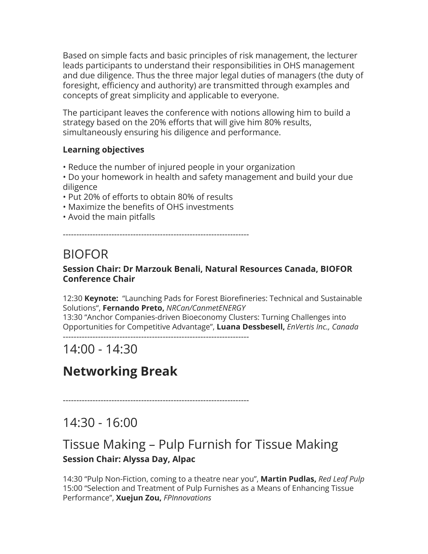Based on simple facts and basic principles of risk management, the lecturer leads participants to understand their responsibilities in OHS management and due diligence. Thus the three major legal duties of managers (the duty of foresight, efficiency and authority) are transmitted through examples and concepts of great simplicity and applicable to everyone.

The participant leaves the conference with notions allowing him to build a strategy based on the 20% efforts that will give him 80% results, simultaneously ensuring his diligence and performance.

### **Learning objectives**

- Reduce the number of injured people in your organization
- Do your homework in health and safety management and build your due diligence
- Put 20% of efforts to obtain 80% of results
- Maximize the benefits of OHS investments
- Avoid the main pitfalls

---------------------------------------------------------------------

# BIOFOR

### **Session Chair: Dr Marzouk Benali, Natural Resources Canada, BIOFOR Conference Chair**

12:30 **Keynote:** "Launching Pads for Forest Biorefineries: Technical and Sustainable Solutions", **Fernando Preto,** *NRCan/CanmetENERGY* 13:30 "Anchor Companies-driven Bioeconomy Clusters: Turning Challenges into

Opportunities for Competitive Advantage", **Luana Dessbesell,** *EnVertis Inc., Canada* ---------------------------------------------------------------------

# 14:00 - 14:30

# **Networking Break**

---------------------------------------------------------------------

## 14:30 - 16:00

### Tissue Making – Pulp Furnish for Tissue Making **Session Chair: Alyssa Day, Alpac**

14:30 "Pulp Non-Fiction, coming to a theatre near you", **Martin Pudlas,** *Red Leaf Pulp* 15:00 "Selection and Treatment of Pulp Furnishes as a Means of Enhancing Tissue Performance", **Xuejun Zou,** *FPInnovations*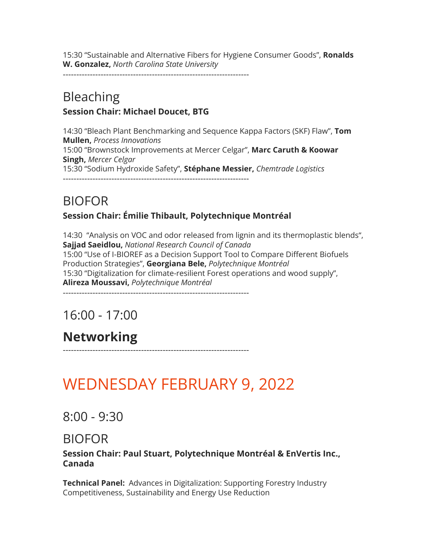15:30 "Sustainable and Alternative Fibers for Hygiene Consumer Goods", **Ronalds W. Gonzalez,** *North Carolina State University*

---------------------------------------------------------------------

### Bleaching **Session Chair: Michael Doucet, BTG**

14:30 "Bleach Plant Benchmarking and Sequence Kappa Factors (SKF) Flaw", **Tom Mullen,** *Process Innovations* 15:00 "Brownstock Improvements at Mercer Celgar", **Marc Caruth & Koowar Singh,** *Mercer Celgar* 15:30 "Sodium Hydroxide Safety", **Stéphane Messier,** *Chemtrade Logistics* ---------------------------------------------------------------------

## BIOFOR

### **Session Chair: Émilie Thibault, Polytechnique Montréal**

14:30 "Analysis on VOC and odor released from lignin and its thermoplastic blends", **Sajjad Saeidlou,** *National Research Council of Canada* 15:00 "Use of I-BIOREF as a Decision Support Tool to Compare Different Biofuels Production Strategies", **Georgiana Bele,** *Polytechnique Montréal* 15:30 "Digitalization for climate-resilient Forest operations and wood supply", **Alireza Moussavi,** *Polytechnique Montréal* ---------------------------------------------------------------------

16:00 - 17:00

# **Networking**

---------------------------------------------------------------------

# [WEDNESDAY FEBRUARY 9, 2022](https://www.paperweekcanada.ca/pwc-2020-wednesday-february-5)

### 8:00 - 9:30

### BIOFOR

**Session Chair: Paul Stuart, Polytechnique Montréal & EnVertis Inc., Canada**

**Technical Panel:** Advances in Digitalization: Supporting Forestry Industry Competitiveness, Sustainability and Energy Use Reduction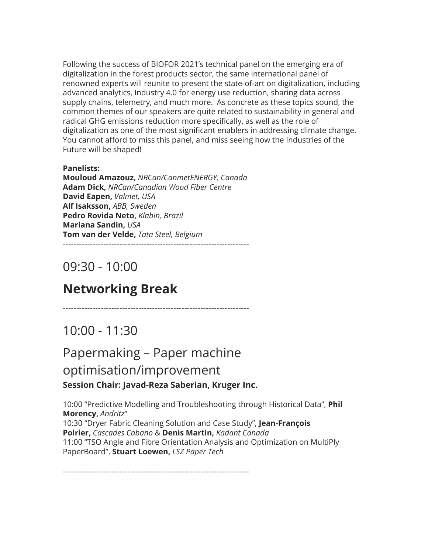Following the success of BIOFOR 2021's technical panel on the emerging era of digitalization in the forest products sector, the same international panel of renowned experts will reunite to present the state-of-art on digitalization, including advanced analytics, Industry 4.0 for energy use reduction, sharing data across supply chains, telemetry, and much more. As concrete as these topics sound, the common themes of our speakers are quite related to sustainability in general and radical GHG emissions reduction more specifically, as well as the role of digitalization as one of the most significant enablers in addressing climate change. You cannot afford to miss this panel, and miss seeing how the Industries of the Future will be shaped!

#### **Panelists:**

**Mouloud Amazouz,** *NRCan/CanmetENERGY, Canada* **Adam Dick,** *NRCan/Canadian Wood Fiber Centre* **David Eapen,** *Valmet, USA* **Alf Isaksson,** *ABB, Sweden* **Pedro Rovida Neto,** *Klabin, Brazil* **Mariana Sandin,** *USA* **Tom van der Velde,** *Tata Steel, Belgium* ---------------------------------------------------------------------

## 09:30 - 10:00

## **Networking Break**

---------------------------------------------------------------------

### 10:00 - 11:30

## Papermaking – Paper machine optimisation/improvement **Session Chair: Javad-Reza Saberian, Kruger Inc.**

10:00 "Predictive Modelling and Troubleshooting through Historical Data", **Phil Morency,** *Andritz*" 10:30 "Dryer Fabric Cleaning Solution and Case Study", **Jean-François Poirier,** *Cascades Cabano* & **Denis Martin,** *Kadant Canada* 11:00 "TSO Angle and Fibre Orientation Analysis and Optimization on MultiPly PaperBoard", **Stuart Loewen,** *LSZ Paper Tech*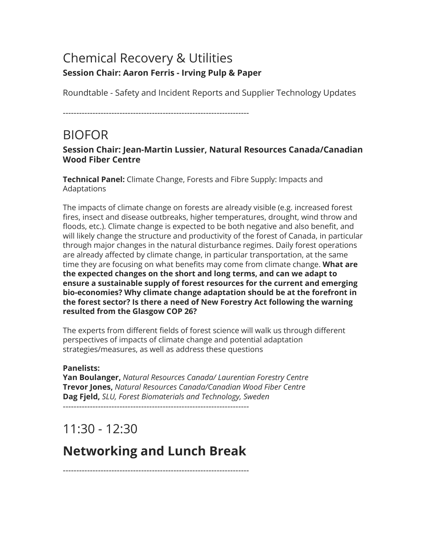### Chemical Recovery & Utilities **Session Chair: Aaron Ferris - Irving Pulp & Paper**

Roundtable - Safety and Incident Reports and Supplier Technology Updates

---------------------------------------------------------------------

## BIOFOR

#### **Session Chair: Jean-Martin Lussier, Natural Resources Canada/Canadian Wood Fiber Centre**

**Technical Panel:** Climate Change, Forests and Fibre Supply: Impacts and Adaptations

The impacts of climate change on forests are already visible (e.g. increased forest fires, insect and disease outbreaks, higher temperatures, drought, wind throw and floods, etc.). Climate change is expected to be both negative and also benefit, and will likely change the structure and productivity of the forest of Canada, in particular through major changes in the natural disturbance regimes. Daily forest operations are already affected by climate change, in particular transportation, at the same time they are focusing on what benefits may come from climate change. **What are the expected changes on the short and long terms, and can we adapt to ensure a sustainable supply of forest resources for the current and emerging bio-economies? Why climate change adaptation should be at the forefront in the forest sector? Is there a need of New Forestry Act following the warning resulted from the Glasgow COP 26?**

The experts from different fields of forest science will walk us through different perspectives of impacts of climate change and potential adaptation strategies/measures, as well as address these questions

### **Panelists:**

**Yan Boulanger,** *Natural Resources Canada/ Laurentian Forestry Centre* **Trevor Jones,** *Natural Resources Canada/Canadian Wood Fiber Centre* **Dag Fjeld,** *SLU, Forest Biomaterials and Technology, Sweden*

---------------------------------------------------------------------

# 11:30 - 12:30

# **Networking and Lunch Break**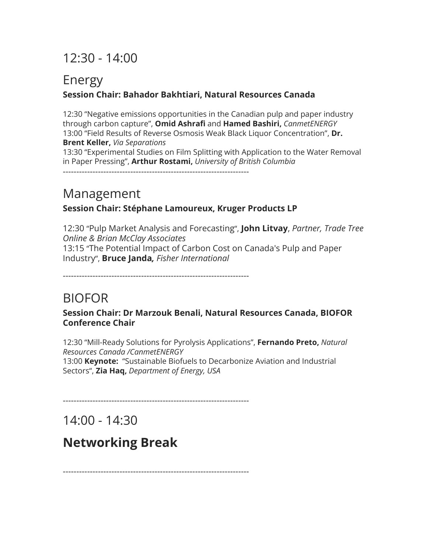# 12:30 - 14:00

### Energy **Session Chair: Bahador Bakhtiari, Natural Resources Canada**

12:30 "Negative emissions opportunities in the Canadian pulp and paper industry through carbon capture", **Omid Ashrafi** and **Hamed Bashiri,** *CanmetENERGY* 13:00 "Field Results of Reverse Osmosis Weak Black Liquor Concentration", **Dr. Brent Keller,** *Via Separations* 13:30 "Experimental Studies on Film Splitting with Application to the Water Removal in Paper Pressing", **Arthur Rostami,** *University of British Columbia*

## Management

### **Session Chair: Stéphane Lamoureux, Kruger Products LP**

12:30 "Pulp Market Analysis and Forecasting", **John Litvay**, *Partner, Trade Tree Online & Brian McClay Associates* 13:15 "The Potential Impact of Carbon Cost on Canada's Pulp and Paper Industry", **Bruce Janda***, Fisher International*

---------------------------------------------------------------------

## BIOFOR

**Session Chair: Dr Marzouk Benali, Natural Resources Canada, BIOFOR Conference Chair**

12:30 "Mill-Ready Solutions for Pyrolysis Applications", **Fernando Preto,** *Natural Resources Canada /CanmetENERGY* 13:00 **Keynote:** "Sustainable Biofuels to Decarbonize Aviation and Industrial Sectors", **Zia Haq,** *Department of Energy, USA*

---------------------------------------------------------------------

14:00 - 14:30

## **Networking Break**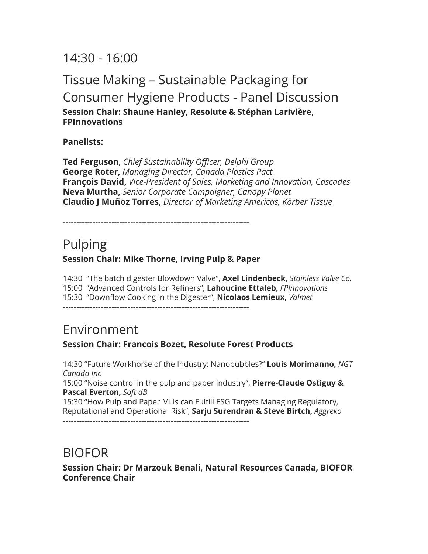14:30 - 16:00

### Tissue Making – Sustainable Packaging for Consumer Hygiene Products - Panel Discussion **Session Chair: Shaune Hanley, Resolute & Stéphan Larivière, FPInnovations**

**Panelists:**

**Ted Ferguson**, *Chief Sustainability Officer, Delphi Group* **George Roter,** *Managing Director, Canada Plastics Pact* **François David,** *Vice-President of Sales, Marketing and Innovation, Cascades* **Neva Murtha,** *Senior Corporate Campaigner, Canopy Planet* **Claudio J Muñoz Torres,** *Director of Marketing Americas, Körber Tissue*

---------------------------------------------------------------------

### Pulping **Session Chair: Mike Thorne, Irving Pulp & Paper**

14:30 "The batch digester Blowdown Valve", **Axel Lindenbeck,** *Stainless Valve Co.* 15:00 "Advanced Controls for Refiners", **Lahoucine Ettaleb,** *FPInnovations* 15:30 "Downflow Cooking in the Digester", **Nicolaos Lemieux,** *Valmet* ---------------------------------------------------------------------

### Environment

### **Session Chair: Francois Bozet, Resolute Forest Products**

14:30 "Future Workhorse of the Industry: Nanobubbles?" **Louis Morimanno,** *NGT Canada Inc*

15:00 "Noise control in the pulp and paper industry", **Pierre-Claude Ostiguy & Pascal Everton,** *Soft dB*

15:30 "How Pulp and Paper Mills can Fulfill ESG Targets Managing Regulatory, Reputational and Operational Risk", **Sarju Surendran & Steve Birtch,** *Aggreko*

---------------------------------------------------------------------

### BIOFOR

**Session Chair: Dr Marzouk Benali, Natural Resources Canada, BIOFOR Conference Chair**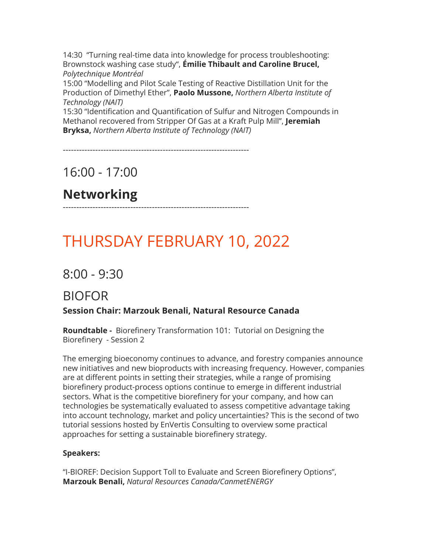14:30 "Turning real-time data into knowledge for process troubleshooting: Brownstock washing case study", **Émilie Thibault and Caroline Brucel,** *Polytechnique Montréal*

15:00 "Modelling and Pilot Scale Testing of Reactive Distillation Unit for the Production of Dimethyl Ether", **Paolo Mussone,** *Northern Alberta Institute of Technology (NAIT)*

15:30 "Identification and Quantification of Sulfur and Nitrogen Compounds in Methanol recovered from Stripper Of Gas at a Kraft Pulp Mill", **Jeremiah Bryksa,** *Northern Alberta Institute of Technology (NAIT)*

---------------------------------------------------------------------

16:00 - 17:00

# **Networking**

---------------------------------------------------------------------

# [THURSDAY FEBRUARY 10, 2022](https://www.paperweekcanada.ca/pwc-2020-thursday-february-6)

8:00 - 9:30

## BIOFOR

**Session Chair: Marzouk Benali, Natural Resource Canada**

**Roundtable -** Biorefinery Transformation 101: Tutorial on Designing the Biorefinery - Session 2

The emerging bioeconomy continues to advance, and forestry companies announce new initiatives and new bioproducts with increasing frequency. However, companies are at different points in setting their strategies, while a range of promising biorefinery product-process options continue to emerge in different industrial sectors. What is the competitive biorefinery for your company, and how can technologies be systematically evaluated to assess competitive advantage taking into account technology, market and policy uncertainties? This is the second of two tutorial sessions hosted by EnVertis Consulting to overview some practical approaches for setting a sustainable biorefinery strategy.

#### **Speakers:**

"I-BIOREF: Decision Support Toll to Evaluate and Screen Biorefinery Options", **Marzouk Benali,** *Natural Resources Canada/CanmetENERGY*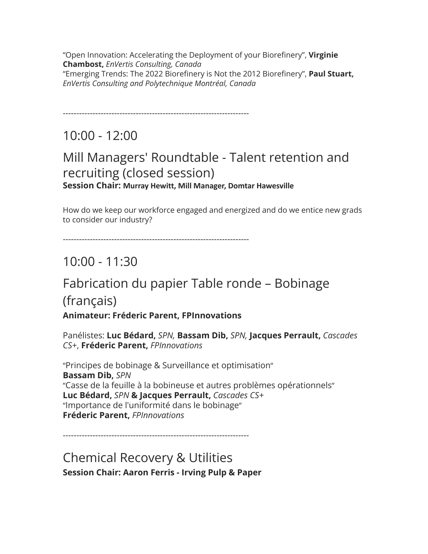"Open Innovation: Accelerating the Deployment of your Biorefinery", **Virginie Chambost,** *EnVertis Consulting, Canada* "Emerging Trends: The 2022 Biorefinery is Not the 2012 Biorefinery", **Paul Stuart,** *EnVertis Consulting and Polytechnique Montréal, Canada*

---------------------------------------------------------------------

## $10:00 - 12:00$

### Mill Managers' Roundtable - Talent retention and recruiting (closed session) **Session Chair: Murray Hewitt, Mill Manager, Domtar Hawesville**

How do we keep our workforce engaged and energized and do we entice new grads to consider our industry?

---------------------------------------------------------------------

# 10:00 - 11:30

# Fabrication du papier Table ronde – Bobinage (français)

### **Animateur: Fréderic Parent, FPInnovations**

Panélistes: **Luc Bédard,** *SPN,* **Bassam Dib,** *SPN,* **Jacques Perrault,** *Cascades CS+*, **Fréderic Parent,** *FPInnovations*

"Principes de bobinage & Surveillance et optimisation" **Bassam Dib,** *SPN* "Casse de la feuille à la bobineuse et autres problèmes opérationnels" **Luc Bédard,** *SPN* **& Jacques Perrault,** *Cascades CS+* "Importance de l'uniformité dans le bobinage" **Fréderic Parent,** *FPInnovations*

---------------------------------------------------------------------

Chemical Recovery & Utilities **Session Chair: Aaron Ferris - Irving Pulp & Paper**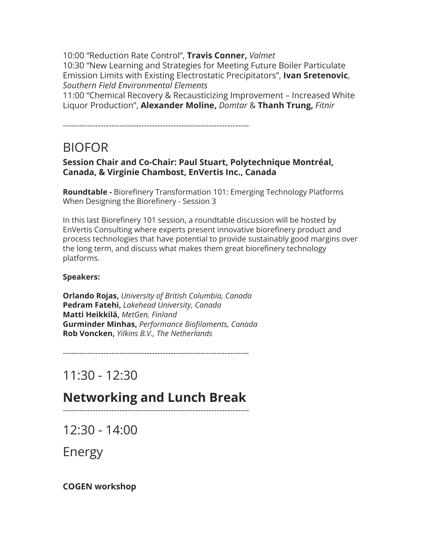10:00 "Reduction Rate Control", **Travis Conner,** *Valmet* 10:30 "New Learning and Strategies for Meeting Future Boiler Particulate Emission Limits with Existing Electrostatic Precipitators", **Ivan Sretenovic**, *Southern Field Environmental Elements*

11:00 "Chemical Recovery & Recausticizing Improvement – Increased White Liquor Production", **Alexander Moline,** *Domtar* & **Thanh Trung,** *Fitnir*

---------------------------------------------------------------------

### BIOFOR

#### **Session Chair and Co-Chair: Paul Stuart, Polytechnique Montréal, Canada, & Virginie Chambost, EnVertis Inc., Canada**

**Roundtable -** Biorefinery Transformation 101: Emerging Technology Platforms When Designing the Biorefinery - Session 3

In this last Biorefinery 101 session, a roundtable discussion will be hosted by EnVertis Consulting where experts present innovative biorefinery product and process technologies that have potential to provide sustainably good margins over the long term, and discuss what makes them great biorefinery technology platforms.

#### **Speakers:**

**Orlando Rojas,** *University of British Columbia, Canada* **Pedram Fatehi,** *Lakehead University, Canada* **Matti Heikkilä,** *MetGen, Finland* **Gurminder Minhas,** *Performance Biofilaments, Canada* **Rob Voncken,** *Yilkins B.V., The Netherlands*

---------------------------------------------------------------------

11:30 - 12:30

### **Networking and Lunch Break** ---------------------------------------------------------------------

12:30 - 14:00

Energy

**COGEN workshop**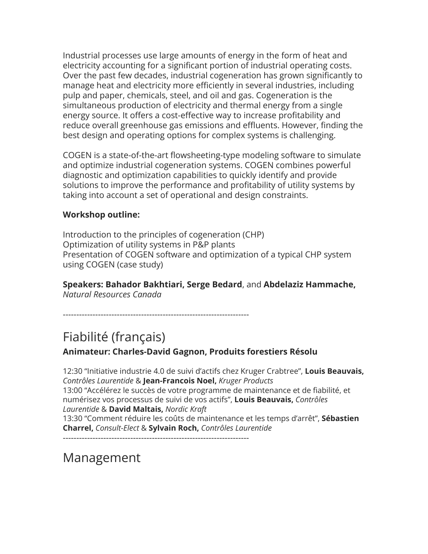Industrial processes use large amounts of energy in the form of heat and electricity accounting for a significant portion of industrial operating costs. Over the past few decades, industrial cogeneration has grown significantly to manage heat and electricity more efficiently in several industries, including pulp and paper, chemicals, steel, and oil and gas. Cogeneration is the simultaneous production of electricity and thermal energy from a single energy source. It offers a cost-effective way to increase profitability and reduce overall greenhouse gas emissions and effluents. However, finding the best design and operating options for complex systems is challenging.

COGEN is a state-of-the-art flowsheeting-type modeling software to simulate and optimize industrial cogeneration systems. COGEN combines powerful diagnostic and optimization capabilities to quickly identify and provide solutions to improve the performance and profitability of utility systems by taking into account a set of operational and design constraints.

#### **Workshop outline:**

Introduction to the principles of cogeneration (CHP) Optimization of utility systems in P&P plants Presentation of COGEN software and optimization of a typical CHP system using COGEN (case study)

**Speakers: Bahador Bakhtiari, Serge Bedard**, and **Abdelaziz Hammache,** *Natural Resources Canada*

---------------------------------------------------------------------

## Fiabilité (français)

**Animateur: Charles-David Gagnon, Produits forestiers Résolu**

12:30 "Initiative industrie 4.0 de suivi d'actifs chez Kruger Crabtree", **Louis Beauvais,** *Contrôles Laurentide* & **Jean-Francois Noel,** *Kruger Products* 13:00 "Accélérez le succès de votre programme de maintenance et de fiabilité, et numérisez vos processus de suivi de vos actifs", **Louis Beauvais,** *Contrôles Laurentide* & **David Maltais,** *Nordic Kraft* 13:30 "Comment réduire les coûts de maintenance et les temps d'arrêt", **Sébastien Charrel,** *Consult-Elect* & **Sylvain Roch,** *Contrôles Laurentide*

---------------------------------------------------------------------

# Management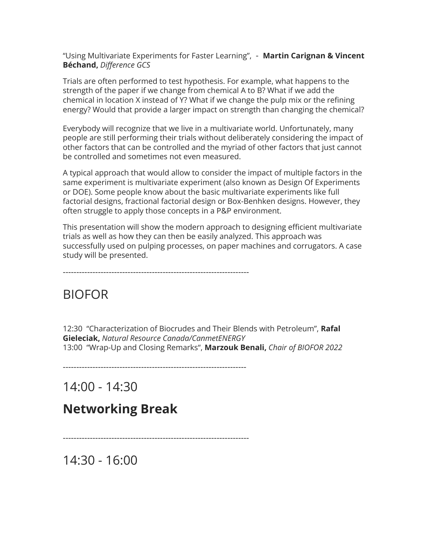"Using Multivariate Experiments for Faster Learning", - **Martin Carignan & Vincent Béchand,** *Difference GCS*

Trials are often performed to test hypothesis. For example, what happens to the strength of the paper if we change from chemical A to B? What if we add the chemical in location X instead of Y? What if we change the pulp mix or the refining energy? Would that provide a larger impact on strength than changing the chemical?

Everybody will recognize that we live in a multivariate world. Unfortunately, many people are still performing their trials without deliberately considering the impact of other factors that can be controlled and the myriad of other factors that just cannot be controlled and sometimes not even measured.

A typical approach that would allow to consider the impact of multiple factors in the same experiment is multivariate experiment (also known as Design Of Experiments or DOE). Some people know about the basic multivariate experiments like full factorial designs, fractional factorial design or Box-Benhken designs. However, they often struggle to apply those concepts in a P&P environment.

This presentation will show the modern approach to designing efficient multivariate trials as well as how they can then be easily analyzed. This approach was successfully used on pulping processes, on paper machines and corrugators. A case study will be presented.

---------------------------------------------------------------------

### BIOFOR

12:30 "Characterization of Biocrudes and Their Blends with Petroleum", **Rafal Gieleciak,** *Natural Resource Canada/CanmetENERGY* 13:00 "Wrap-Up and Closing Remarks", **Marzouk Benali,** *Chair of BIOFOR 2022*

--------------------------------------------------------------------

14:00 - 14:30

### **Networking Break**

---------------------------------------------------------------------

14:30 - 16:00